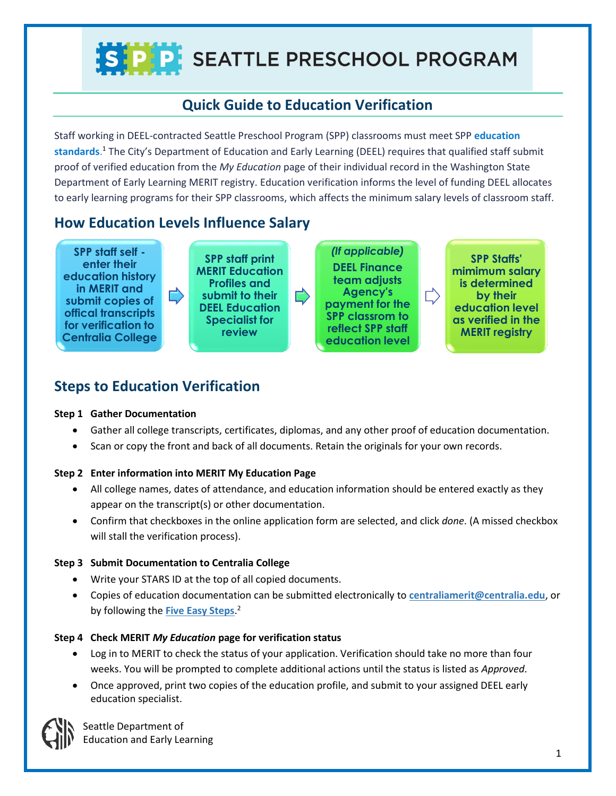# S P P SEATTLE PRESCHOOL PROGRAM

## **Quick Guide to Education Verification**

Staff working in DEEL-contracted Seattle Preschool Program (SPP) classrooms must meet SPP **[education](http://www.seattle.gov/Documents/Departments/OFE/AboutTheLevy/EarlyLearning/2016-06-30_SPP_Meeting_Requirements_FINAL.pdf)  [standards](http://www.seattle.gov/Documents/Departments/OFE/AboutTheLevy/EarlyLearning/2016-06-30_SPP_Meeting_Requirements_FINAL.pdf)**. <sup>1</sup> The City's Department of Education and Early Learning (DEEL) requires that qualified staff submit proof of verified education from the *My Education* page of their individual record in the Washington State Department of Early Learning MERIT registry. Education verification informs the level of funding DEEL allocates to early learning programs for their SPP classrooms, which affects the minimum salary levels of classroom staff.

### **How Education Levels Influence Salary**

**SPP staff self enter their education history in MERIT and submit copies of offical transcripts for verification to Centralia College SPP staff print MERIT Education Profiles and submit to their DEEL Education Specialist for review** 

*(If applicable)*  **DEEL Finance team adjusts Agency's payment for the SPP classrom to reflect SPP staff education level** 

**SPP Staffs' mimimum salary is determined by their education level as verified in the MERIT registry** 

 $\Rightarrow$ 

## **Steps to Education Verification**

#### **Step 1 Gather Documentation**

- Gather all college transcripts, certificates, diplomas, and any other proof of education documentation.
- Scan or copy the front and back of all documents. Retain the originals for your own records.

#### **Step 2 Enter information into MERIT My Education Page**

- All college names, dates of attendance, and education information should be entered exactly as they appear on the transcript(s) or other documentation.
- Confirm that checkboxes in the online application form are selected, and click *done*. (A missed checkbox will stall the verification process).

#### **Step 3 Submit Documentation to Centralia College**

- Write your STARS ID at the top of all copied documents.
- Copies of education documentation can be submitted electronically to **[centraliamerit@centralia.edu](mailto:centraliamerit@centralia.edu)**, or by following the **[Five Easy Steps](https://del-public-files.s3-us-west-2.amazonaws.com/Five_Easy_Steps2016.pdf)**. 2

#### **Step 4 Check MERIT** *My Education* **page for verification status**

- Log in to MERIT to check the status of your application. Verification should take no more than four weeks. You will be prompted to complete additional actions until the status is listed as *Approved*.
- Once approved, print two copies of the education profile, and submit to your assigned DEEL early education specialist.



Seattle Department of Education and Early Learning